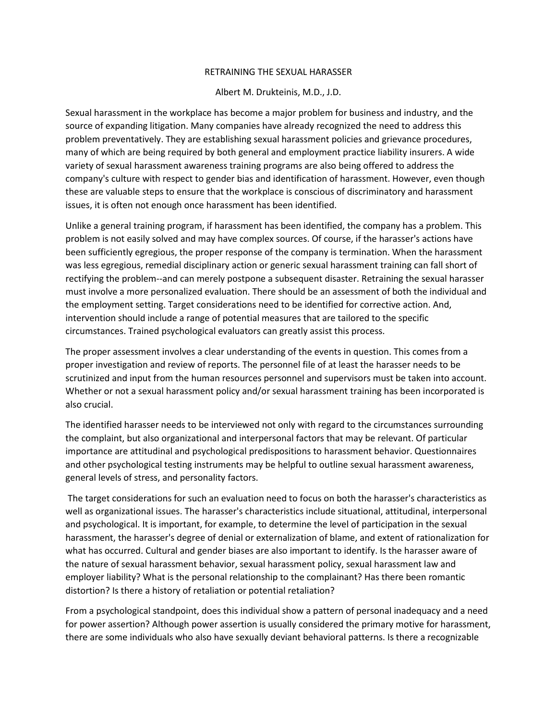## RETRAINING THE SEXUAL HARASSER

## Albert M. Drukteinis, M.D., J.D.

Sexual harassment in the workplace has become a major problem for business and industry, and the source of expanding litigation. Many companies have already recognized the need to address this problem preventatively. They are establishing sexual harassment policies and grievance procedures, many of which are being required by both general and employment practice liability insurers. A wide variety of sexual harassment awareness training programs are also being offered to address the company's culture with respect to gender bias and identification of harassment. However, even though these are valuable steps to ensure that the workplace is conscious of discriminatory and harassment issues, it is often not enough once harassment has been identified.

Unlike a general training program, if harassment has been identified, the company has a problem. This problem is not easily solved and may have complex sources. Of course, if the harasser's actions have been sufficiently egregious, the proper response of the company is termination. When the harassment was less egregious, remedial disciplinary action or generic sexual harassment training can fall short of rectifying the problem--and can merely postpone a subsequent disaster. Retraining the sexual harasser must involve a more personalized evaluation. There should be an assessment of both the individual and the employment setting. Target considerations need to be identified for corrective action. And, intervention should include a range of potential measures that are tailored to the specific circumstances. Trained psychological evaluators can greatly assist this process.

The proper assessment involves a clear understanding of the events in question. This comes from a proper investigation and review of reports. The personnel file of at least the harasser needs to be scrutinized and input from the human resources personnel and supervisors must be taken into account. Whether or not a sexual harassment policy and/or sexual harassment training has been incorporated is also crucial.

The identified harasser needs to be interviewed not only with regard to the circumstances surrounding the complaint, but also organizational and interpersonal factors that may be relevant. Of particular importance are attitudinal and psychological predispositions to harassment behavior. Questionnaires and other psychological testing instruments may be helpful to outline sexual harassment awareness, general levels of stress, and personality factors.

The target considerations for such an evaluation need to focus on both the harasser's characteristics as well as organizational issues. The harasser's characteristics include situational, attitudinal, interpersonal and psychological. It is important, for example, to determine the level of participation in the sexual harassment, the harasser's degree of denial or externalization of blame, and extent of rationalization for what has occurred. Cultural and gender biases are also important to identify. Is the harasser aware of the nature of sexual harassment behavior, sexual harassment policy, sexual harassment law and employer liability? What is the personal relationship to the complainant? Has there been romantic distortion? Is there a history of retaliation or potential retaliation?

From a psychological standpoint, does this individual show a pattern of personal inadequacy and a need for power assertion? Although power assertion is usually considered the primary motive for harassment, there are some individuals who also have sexually deviant behavioral patterns. Is there a recognizable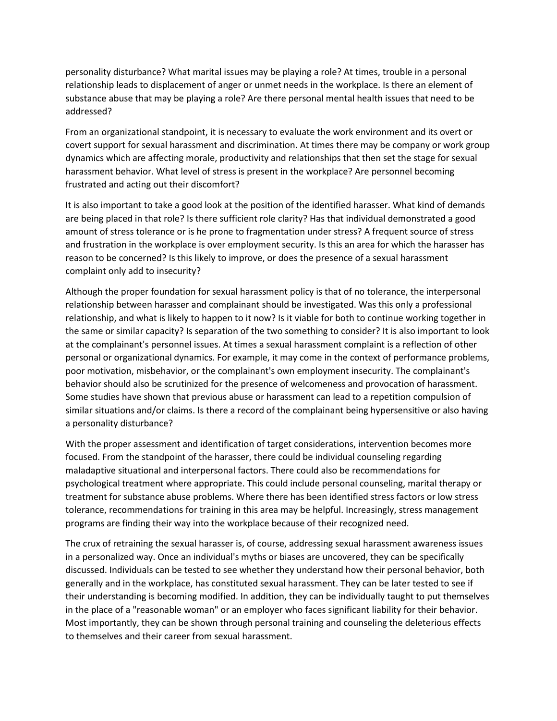personality disturbance? What marital issues may be playing a role? At times, trouble in a personal relationship leads to displacement of anger or unmet needs in the workplace. Is there an element of substance abuse that may be playing a role? Are there personal mental health issues that need to be addressed?

From an organizational standpoint, it is necessary to evaluate the work environment and its overt or covert support for sexual harassment and discrimination. At times there may be company or work group dynamics which are affecting morale, productivity and relationships that then set the stage for sexual harassment behavior. What level of stress is present in the workplace? Are personnel becoming frustrated and acting out their discomfort?

It is also important to take a good look at the position of the identified harasser. What kind of demands are being placed in that role? Is there sufficient role clarity? Has that individual demonstrated a good amount of stress tolerance or is he prone to fragmentation under stress? A frequent source of stress and frustration in the workplace is over employment security. Is this an area for which the harasser has reason to be concerned? Is this likely to improve, or does the presence of a sexual harassment complaint only add to insecurity?

Although the proper foundation for sexual harassment policy is that of no tolerance, the interpersonal relationship between harasser and complainant should be investigated. Was this only a professional relationship, and what is likely to happen to it now? Is it viable for both to continue working together in the same or similar capacity? Is separation of the two something to consider? It is also important to look at the complainant's personnel issues. At times a sexual harassment complaint is a reflection of other personal or organizational dynamics. For example, it may come in the context of performance problems, poor motivation, misbehavior, or the complainant's own employment insecurity. The complainant's behavior should also be scrutinized for the presence of welcomeness and provocation of harassment. Some studies have shown that previous abuse or harassment can lead to a repetition compulsion of similar situations and/or claims. Is there a record of the complainant being hypersensitive or also having a personality disturbance?

With the proper assessment and identification of target considerations, intervention becomes more focused. From the standpoint of the harasser, there could be individual counseling regarding maladaptive situational and interpersonal factors. There could also be recommendations for psychological treatment where appropriate. This could include personal counseling, marital therapy or treatment for substance abuse problems. Where there has been identified stress factors or low stress tolerance, recommendations for training in this area may be helpful. Increasingly, stress management programs are finding their way into the workplace because of their recognized need.

The crux of retraining the sexual harasser is, of course, addressing sexual harassment awareness issues in a personalized way. Once an individual's myths or biases are uncovered, they can be specifically discussed. Individuals can be tested to see whether they understand how their personal behavior, both generally and in the workplace, has constituted sexual harassment. They can be later tested to see if their understanding is becoming modified. In addition, they can be individually taught to put themselves in the place of a "reasonable woman" or an employer who faces significant liability for their behavior. Most importantly, they can be shown through personal training and counseling the deleterious effects to themselves and their career from sexual harassment.